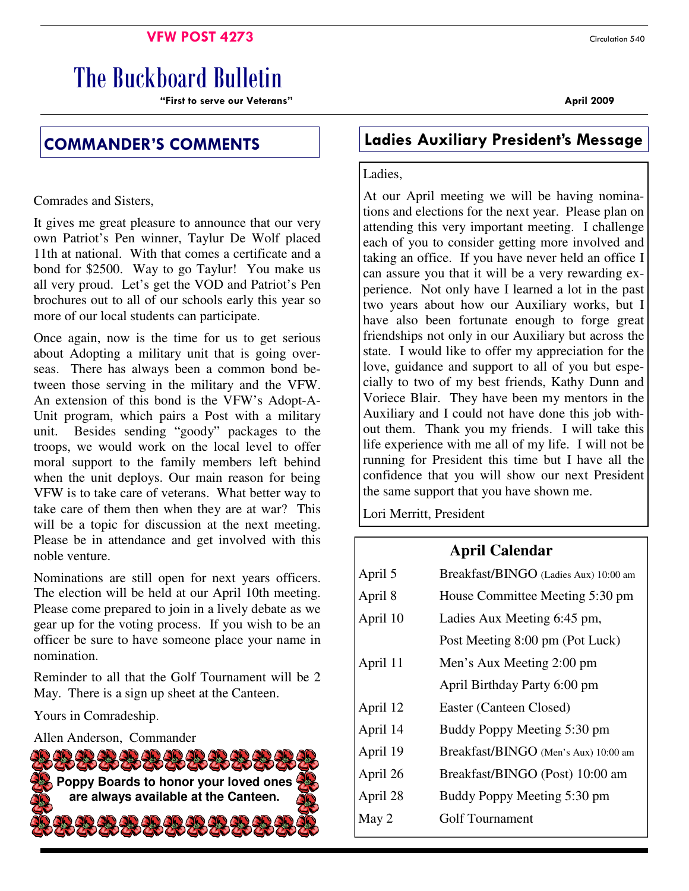## **VFW POST 4273** Circulation 540

# The Buckboard Bulletin

"First to serve our Veterans" April 2009

Comrades and Sisters,

It gives me great pleasure to announce that our very own Patriot's Pen winner, Taylur De Wolf placed 11th at national. With that comes a certificate and a bond for \$2500. Way to go Taylur! You make us all very proud. Let's get the VOD and Patriot's Pen brochures out to all of our schools early this year so more of our local students can participate.

Once again, now is the time for us to get serious about Adopting a military unit that is going overseas. There has always been a common bond between those serving in the military and the VFW. An extension of this bond is the VFW's Adopt-A-Unit program, which pairs a Post with a military unit. Besides sending "goody" packages to the troops, we would work on the local level to offer moral support to the family members left behind when the unit deploys. Our main reason for being VFW is to take care of veterans. What better way to take care of them then when they are at war? This will be a topic for discussion at the next meeting. Please be in attendance and get involved with this noble venture.

Nominations are still open for next years officers. The election will be held at our April 10th meeting. Please come prepared to join in a lively debate as we gear up for the voting process. If you wish to be an officer be sure to have someone place your name in nomination.

Reminder to all that the Golf Tournament will be 2 May. There is a sign up sheet at the Canteen.

Yours in Comradeship.

Allen Anderson, Commander



## COMMANDER'S COMMENTS Ladies Auxiliary President's Message

#### Ladies,

At our April meeting we will be having nominations and elections for the next year. Please plan on attending this very important meeting. I challenge each of you to consider getting more involved and taking an office. If you have never held an office I can assure you that it will be a very rewarding experience. Not only have I learned a lot in the past two years about how our Auxiliary works, but I have also been fortunate enough to forge great friendships not only in our Auxiliary but across the state. I would like to offer my appreciation for the love, guidance and support to all of you but especially to two of my best friends, Kathy Dunn and Voriece Blair. They have been my mentors in the Auxiliary and I could not have done this job without them. Thank you my friends. I will take this life experience with me all of my life. I will not be running for President this time but I have all the confidence that you will show our next President the same support that you have shown me.

Lori Merritt, President

## **April Calendar**

| April 5  | Breakfast/BINGO (Ladies Aux) 10:00 am |  |  |
|----------|---------------------------------------|--|--|
| April 8  | House Committee Meeting 5:30 pm       |  |  |
| April 10 | Ladies Aux Meeting 6:45 pm,           |  |  |
|          | Post Meeting 8:00 pm (Pot Luck)       |  |  |
| April 11 | Men's Aux Meeting 2:00 pm             |  |  |
|          | April Birthday Party 6:00 pm          |  |  |
| April 12 | Easter (Canteen Closed)               |  |  |
| April 14 | Buddy Poppy Meeting 5:30 pm           |  |  |
| April 19 | Breakfast/BINGO (Men's Aux) 10:00 am  |  |  |
| April 26 | Breakfast/BINGO (Post) 10:00 am       |  |  |
| April 28 | Buddy Poppy Meeting 5:30 pm           |  |  |
| May 2    | Golf Tournament                       |  |  |
|          |                                       |  |  |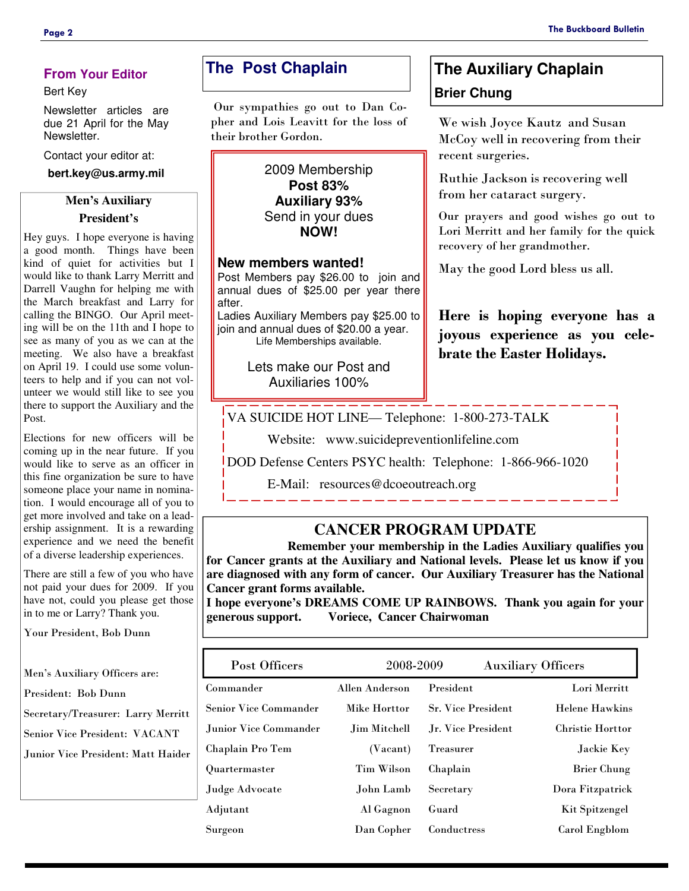## **From Your Editor**

#### Bert Key

Newsletter articles are due 21 April for the May Newsletter.

Contact your editor at:

**bert.key@us.army.mil** 

## **Men's Auxiliary President's**

Hey guys. I hope everyone is having a good month. Things have been kind of quiet for activities but I would like to thank Larry Merritt and Darrell Vaughn for helping me with the March breakfast and Larry for calling the BINGO. Our April meeting will be on the 11th and I hope to see as many of you as we can at the meeting. We also have a breakfast on April 19. I could use some volunteers to help and if you can not volunteer we would still like to see you there to support the Auxiliary and the Post.

Elections for new officers will be coming up in the near future. If you would like to serve as an officer in this fine organization be sure to have someone place your name in nomination. I would encourage all of you to get more involved and take on a leadership assignment. It is a rewarding experience and we need the benefit of a diverse leadership experiences.

There are still a few of you who have not paid your dues for 2009. If you have not, could you please get those in to me or Larry? Thank you.

Your President, Bob Dunn

Men's Auxiliary Officers are:

President: Bob Dunn

Secretary/Treasurer: Larry Merritt

Senior Vice President: VACANT

Junior Vice President: Matt Haider

## **The Post Chaplain**

 Our sympathies go out to Dan Copher and Lois Leavitt for the loss of their brother Gordon.

> 2009 Membership **Post 83% Auxiliary 93%** Send in your dues **NOW!**

#### **New members wanted!**

Post Members pay \$26.00 to join and annual dues of \$25.00 per year there after.

Ladies Auxiliary Members pay \$25.00 to join and annual dues of \$20.00 a year. Life Memberships available.

> Lets make our Post and Auxiliaries 100%

## **The Auxiliary Chaplain Brier Chung**

We wish Joyce Kautz and Susan McCoy well in recovering from their recent surgeries.

Ruthie Jackson is recovering well from her cataract surgery.

Our prayers and good wishes go out to Lori Merritt and her family for the quick recovery of her grandmother.

May the good Lord bless us all.

Here is hoping everyone has a joyous experience as you celebrate the Easter Holidays.

VA SUICIDE HOT LINE— Telephone: 1-800-273-TALK

Website: www.suicidepreventionlifeline.com

DOD Defense Centers PSYC health: Telephone: 1-866-966-1020

E-Mail: resources@dcoeoutreach.org

## **CANCER PROGRAM UPDATE**

 **Remember your membership in the Ladies Auxiliary qualifies you for Cancer grants at the Auxiliary and National levels. Please let us know if you are diagnosed with any form of cancer. Our Auxiliary Treasurer has the National Cancer grant forms available.** 

**I hope everyone's DREAMS COME UP RAINBOWS. Thank you again for your generous support. Voriece, Cancer Chairwoman** 

| Post Officers                | 2008-2009         |                           | <b>Auxiliary Officers</b> |
|------------------------------|-------------------|---------------------------|---------------------------|
| Commander                    | Allen Anderson    | President                 | Lori Merritt              |
| <b>Senior Vice Commander</b> | Mike Horttor      | <b>Sr. Vice President</b> | <b>Helene Hawkins</b>     |
| Junior Vice Commander        | Jim Mitchell      | Jr. Vice President        | <b>Christie Horttor</b>   |
| Chaplain Pro Tem             | (Vacant)          | <b>Treasurer</b>          | Jackie Key                |
| Quartermaster                | <b>Tim Wilson</b> | Chaplain                  | <b>Brier Chung</b>        |
| Judge Advocate               | John Lamb         | Secretary                 | Dora Fitzpatrick          |
| Adjutant                     | Al Gagnon         | Guard                     | Kit Spitzengel            |
| Surgeon                      | Dan Copher        | Conductress               | Carol Engblom             |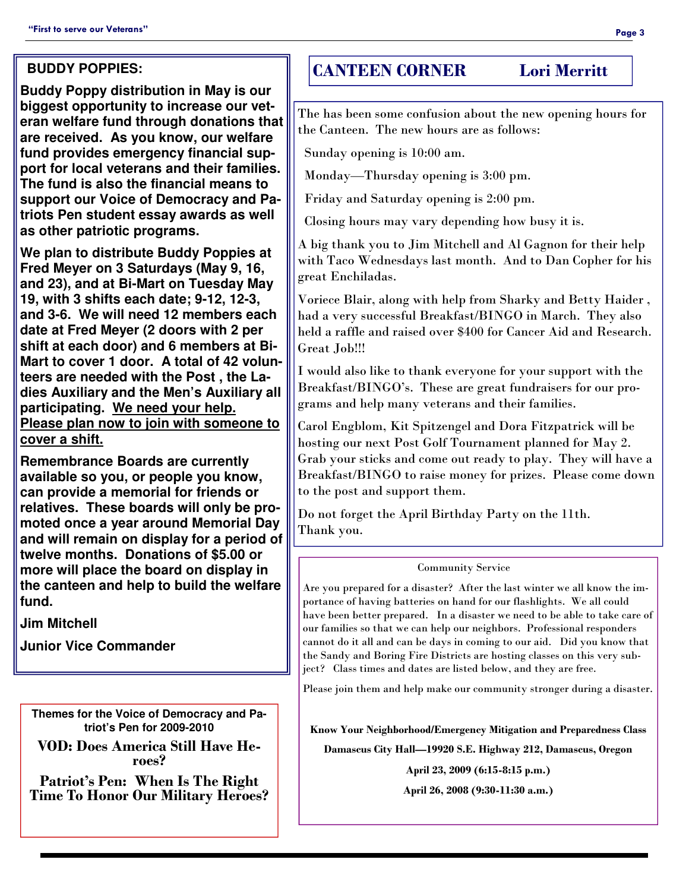## **BUDDY POPPIES:**

**Buddy Poppy distribution in May is our biggest opportunity to increase our veteran welfare fund through donations that are received. As you know, our welfare fund provides emergency financial support for local veterans and their families. The fund is also the financial means to support our Voice of Democracy and Patriots Pen student essay awards as well as other patriotic programs.** 

**We plan to distribute Buddy Poppies at Fred Meyer on 3 Saturdays (May 9, 16, and 23), and at Bi-Mart on Tuesday May 19, with 3 shifts each date; 9-12, 12-3, and 3-6. We will need 12 members each date at Fred Meyer (2 doors with 2 per shift at each door) and 6 members at Bi-Mart to cover 1 door. A total of 42 volunteers are needed with the Post , the Ladies Auxiliary and the Men's Auxiliary all participating. We need your help. Please plan now to join with someone to cover a shift.**

**Remembrance Boards are currently available so you, or people you know, can provide a memorial for friends or relatives. These boards will only be promoted once a year around Memorial Day and will remain on display for a period of twelve months. Donations of \$5.00 or more will place the board on display in the canteen and help to build the welfare fund.** 

**Jim Mitchell** 

**Junior Vice Commander** 

**Themes for the Voice of Democracy and Patriot's Pen for 2009-2010** 

VOD: Does America Still Have Heroes?

Patriot's Pen: When Is The Right Time To Honor Our Military Heroes?

## CANTEEN CORNER Lori Merritt

The has been some confusion about the new opening hours for the Canteen. The new hours are as follows:

Sunday opening is 10:00 am.

Monday—Thursday opening is 3:00 pm.

Friday and Saturday opening is 2:00 pm.

Closing hours may vary depending how busy it is.

A big thank you to Jim Mitchell and Al Gagnon for their help with Taco Wednesdays last month. And to Dan Copher for his great Enchiladas.

Voriece Blair, along with help from Sharky and Betty Haider , had a very successful Breakfast/BINGO in March. They also held a raffle and raised over \$400 for Cancer Aid and Research. Great Job!!!

I would also like to thank everyone for your support with the Breakfast/BINGO's. These are great fundraisers for our programs and help many veterans and their families.

Carol Engblom, Kit Spitzengel and Dora Fitzpatrick will be hosting our next Post Golf Tournament planned for May 2. Grab your sticks and come out ready to play. They will have a Breakfast/BINGO to raise money for prizes. Please come down to the post and support them.

Do not forget the April Birthday Party on the 11th. Thank you.

### Community Service

Are you prepared for a disaster? After the last winter we all know the importance of having batteries on hand for our flashlights. We all could have been better prepared. In a disaster we need to be able to take care of our families so that we can help our neighbors. Professional responders cannot do it all and can be days in coming to our aid. Did you know that the Sandy and Boring Fire Districts are hosting classes on this very subject? Class times and dates are listed below, and they are free.

Please join them and help make our community stronger during a disaster.

Know Your Neighborhood/Emergency Mitigation and Preparedness Class

Damascus City Hall—19920 S.E. Highway 212, Damascus, Oregon

April 23, 2009 (6:15-8:15 p.m.)

April 26, 2008 (9:30-11:30 a.m.)